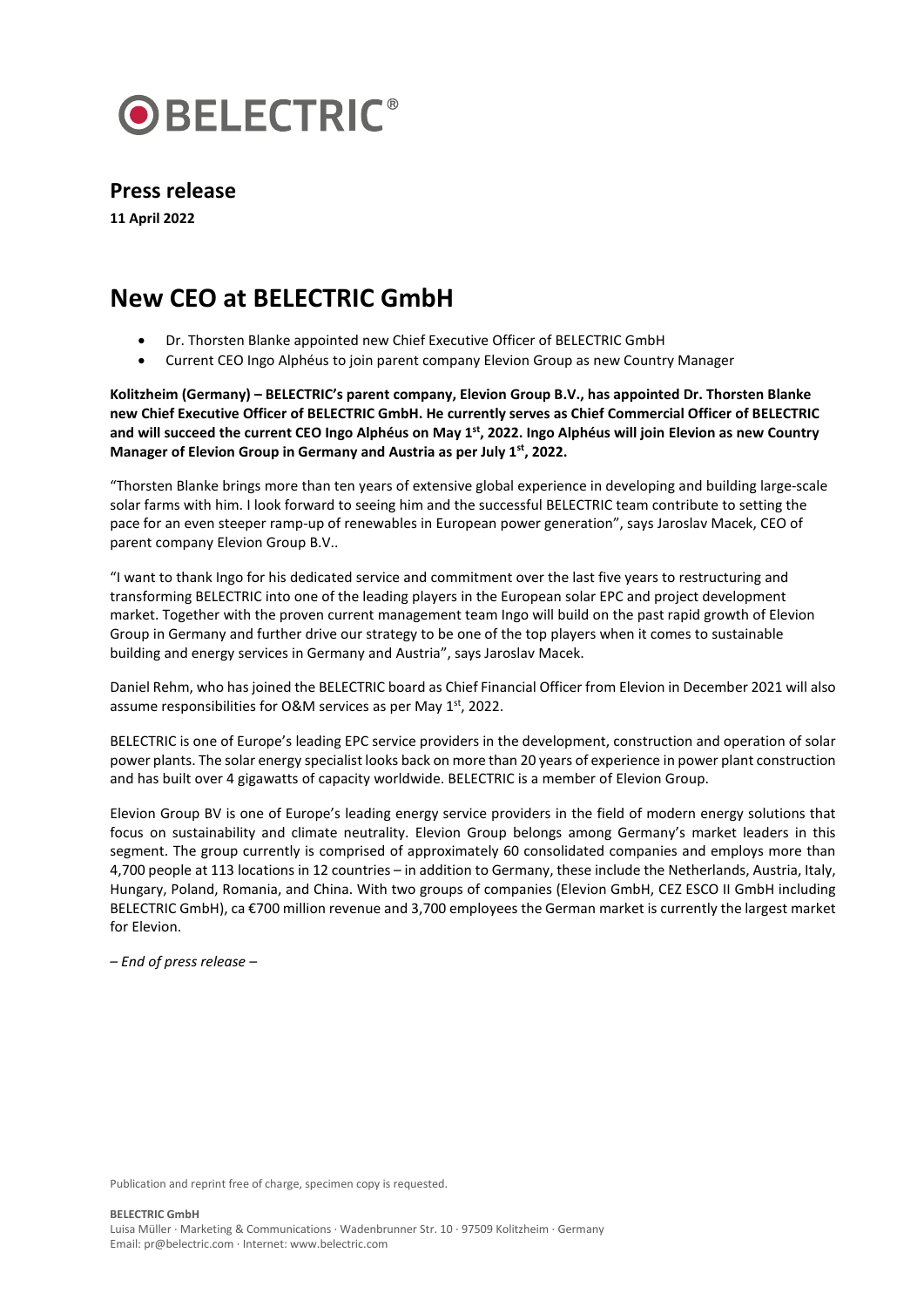

## **Press release**

**11 April 2022**

## **New CEO at BELECTRIC GmbH**

- Dr. Thorsten Blanke appointed new Chief Executive Officer of BELECTRIC GmbH
- Current CEO Ingo Alphéus to join parent company Elevion Group as new Country Manager

**Kolitzheim (Germany) – BELECTRIC's parent company, Elevion Group B.V., has appointed Dr. Thorsten Blanke new Chief Executive Officer of BELECTRIC GmbH. He currently serves as Chief Commercial Officer of BELECTRIC and will succeed the current CEO Ingo Alphéus on May 1st, 2022. Ingo Alphéus will join Elevion as new Country Manager of Elevion Group in Germany and Austria as per July 1st, 2022.**

"Thorsten Blanke brings more than ten years of extensive global experience in developing and building large-scale solar farms with him. I look forward to seeing him and the successful BELECTRIC team contribute to setting the pace for an even steeper ramp-up of renewables in European power generation", says Jaroslav Macek, CEO of parent company Elevion Group B.V..

"I want to thank Ingo for his dedicated service and commitment over the last five years to restructuring and transforming BELECTRIC into one of the leading players in the European solar EPC and project development market. Together with the proven current management team Ingo will build on the past rapid growth of Elevion Group in Germany and further drive our strategy to be one of the top players when it comes to sustainable building and energy services in Germany and Austria", says Jaroslav Macek.

Daniel Rehm, who has joined the BELECTRIC board as Chief Financial Officer from Elevion in December 2021 will also assume responsibilities for O&M services as per May 1st, 2022.

BELECTRIC is one of Europe's leading EPC service providers in the development, construction and operation of solar power plants. The solar energy specialist looks back on more than 20 years of experience in power plant construction and has built over 4 gigawatts of capacity worldwide. BELECTRIC is a member of Elevion Group.

Elevion Group BV is one of Europe's leading energy service providers in the field of modern energy solutions that focus on sustainability and climate neutrality. Elevion Group belongs among Germany's market leaders in this segment. The group currently is comprised of approximately 60 consolidated companies and employs more than 4,700 people at 113 locations in 12 countries – in addition to Germany, these include the Netherlands, Austria, Italy, Hungary, Poland, Romania, and China. With two groups of companies (Elevion GmbH, CEZ ESCO II GmbH including BELECTRIC GmbH), ca €700 million revenue and 3,700 employees the German market is currently the largest market for Elevion.

*– End of press release –*

Publication and reprint free of charge, specimen copy is requested.